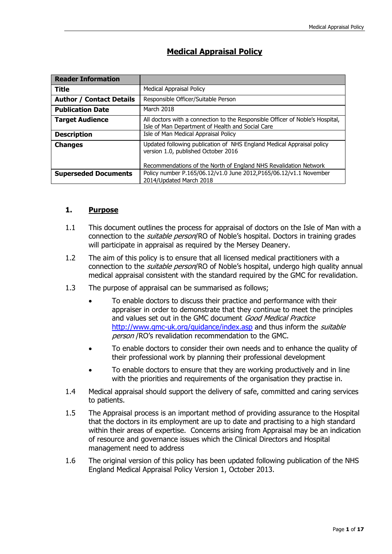| <b>Reader Information</b>       |                                                                                                                                   |
|---------------------------------|-----------------------------------------------------------------------------------------------------------------------------------|
| <b>Title</b>                    | <b>Medical Appraisal Policy</b>                                                                                                   |
| <b>Author / Contact Details</b> | Responsible Officer/Suitable Person                                                                                               |
| <b>Publication Date</b>         | March 2018                                                                                                                        |
| <b>Target Audience</b>          | All doctors with a connection to the Responsible Officer of Noble's Hospital,<br>Isle of Man Department of Health and Social Care |
| <b>Description</b>              | Isle of Man Medical Appraisal Policy                                                                                              |
| <b>Changes</b>                  | Updated following publication of NHS England Medical Appraisal policy<br>version 1.0, published October 2016                      |
|                                 | Recommendations of the North of England NHS Revalidation Network                                                                  |
| <b>Superseded Documents</b>     | Policy number P.165/06.12/v1.0 June 2012, P165/06.12/v1.1 November<br>2014/Updated March 2018                                     |

# **Medical Appraisal Policy**

# **1. Purpose**

- 1.1 This document outlines the process for appraisal of doctors on the Isle of Man with a connection to the *suitable person*/RO of Noble's hospital. Doctors in training grades will participate in appraisal as required by the Mersey Deanery.
- 1.2 The aim of this policy is to ensure that all licensed medical practitioners with a connection to the *suitable person*/RO of Noble's hospital, undergo high quality annual medical appraisal consistent with the standard required by the GMC for revalidation.
- 1.3 The purpose of appraisal can be summarised as follows;
	- To enable doctors to discuss their practice and performance with their appraiser in order to demonstrate that they continue to meet the principles and values set out in the GMC document Good Medical Practice <http://www.gmc-uk.org/guidance/index.asp> and thus inform the *suitable* person /RO's revalidation recommendation to the GMC.
	- To enable doctors to consider their own needs and to enhance the quality of their professional work by planning their professional development
	- To enable doctors to ensure that they are working productively and in line with the priorities and requirements of the organisation they practise in.
- 1.4 Medical appraisal should support the delivery of safe, committed and caring services to patients.
- 1.5 The Appraisal process is an important method of providing assurance to the Hospital that the doctors in its employment are up to date and practising to a high standard within their areas of expertise. Concerns arising from Appraisal may be an indication of resource and governance issues which the Clinical Directors and Hospital management need to address
- 1.6 The original version of this policy has been updated following publication of the NHS England Medical Appraisal Policy Version 1, October 2013.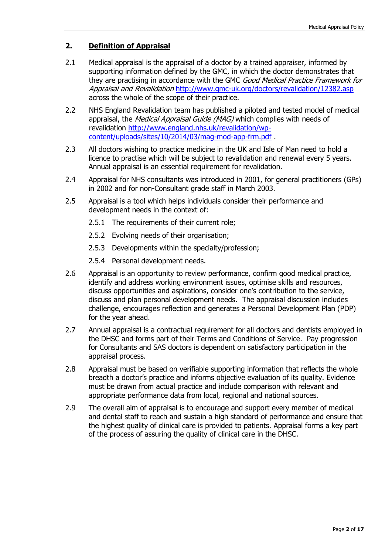# **2. Definition of Appraisal**

- 2.1 Medical appraisal is the appraisal of a doctor by a trained appraiser, informed by supporting information defined by the GMC, in which the doctor demonstrates that they are practising in accordance with the GMC Good Medical Practice Framework for Appraisal and Revalidation <http://www.gmc-uk.org/doctors/revalidation/12382.asp> across the whole of the scope of their practice.
- 2.2 NHS England Revalidation team has published a piloted and tested model of medical appraisal, the *Medical Appraisal Guide (MAG)* which complies with needs of revalidation [http://www.england.nhs.uk/revalidation/wp](http://www.england.nhs.uk/revalidation/wp-content/uploads/sites/10/2014/03/mag-mod-app-frm.pdf)[content/uploads/sites/10/2014/03/mag-mod-app-frm.pdf](http://www.england.nhs.uk/revalidation/wp-content/uploads/sites/10/2014/03/mag-mod-app-frm.pdf) .
- 2.3 All doctors wishing to practice medicine in the UK and Isle of Man need to hold a licence to practise which will be subject to revalidation and renewal every 5 years. Annual appraisal is an essential requirement for revalidation.
- 2.4 Appraisal for NHS consultants was introduced in 2001, for general practitioners (GPs) in 2002 and for non-Consultant grade staff in March 2003.
- 2.5 Appraisal is a tool which helps individuals consider their performance and development needs in the context of:
	- 2.5.1 The requirements of their current role;
	- 2.5.2 Evolving needs of their organisation;
	- 2.5.3 Developments within the specialty/profession;
	- 2.5.4 Personal development needs.
- 2.6 Appraisal is an opportunity to review performance, confirm good medical practice, identify and address working environment issues, optimise skills and resources, discuss opportunities and aspirations, consider one's contribution to the service, discuss and plan personal development needs. The appraisal discussion includes challenge, encourages reflection and generates a Personal Development Plan (PDP) for the year ahead.
- 2.7 Annual appraisal is a contractual requirement for all doctors and dentists employed in the DHSC and forms part of their Terms and Conditions of Service. Pay progression for Consultants and SAS doctors is dependent on satisfactory participation in the appraisal process.
- 2.8 Appraisal must be based on verifiable supporting information that reflects the whole breadth a doctor's practice and informs objective evaluation of its quality. Evidence must be drawn from actual practice and include comparison with relevant and appropriate performance data from local, regional and national sources.
- 2.9 The overall aim of appraisal is to encourage and support every member of medical and dental staff to reach and sustain a high standard of performance and ensure that the highest quality of clinical care is provided to patients. Appraisal forms a key part of the process of assuring the quality of clinical care in the DHSC.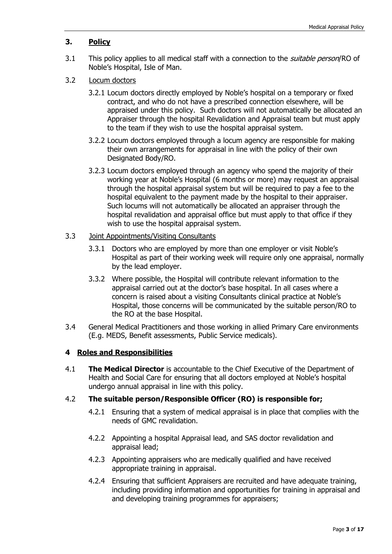# **3. Policy**

- 3.1 This policy applies to all medical staff with a connection to the *suitable person*/RO of Noble's Hospital, Isle of Man.
- 3.2 Locum doctors
	- 3.2.1 Locum doctors directly employed by Noble's hospital on a temporary or fixed contract, and who do not have a prescribed connection elsewhere, will be appraised under this policy. Such doctors will not automatically be allocated an Appraiser through the hospital Revalidation and Appraisal team but must apply to the team if they wish to use the hospital appraisal system.
	- 3.2.2 Locum doctors employed through a locum agency are responsible for making their own arrangements for appraisal in line with the policy of their own Designated Body/RO.
	- 3.2.3 Locum doctors employed through an agency who spend the majority of their working year at Noble's Hospital (6 months or more) may request an appraisal through the hospital appraisal system but will be required to pay a fee to the hospital equivalent to the payment made by the hospital to their appraiser. Such locums will not automatically be allocated an appraiser through the hospital revalidation and appraisal office but must apply to that office if they wish to use the hospital appraisal system.

#### 3.3 Joint Appointments/Visiting Consultants

- 3.3.1 Doctors who are employed by more than one employer or visit Noble's Hospital as part of their working week will require only one appraisal, normally by the lead employer.
- 3.3.2 Where possible, the Hospital will contribute relevant information to the appraisal carried out at the doctor's base hospital. In all cases where a concern is raised about a visiting Consultants clinical practice at Noble's Hospital, those concerns will be communicated by the suitable person/RO to the RO at the base Hospital.
- 3.4 General Medical Practitioners and those working in allied Primary Care environments (E.g. MEDS, Benefit assessments, Public Service medicals).

# **4 Roles and Responsibilities**

4.1 **The Medical Director** is accountable to the Chief Executive of the Department of Health and Social Care for ensuring that all doctors employed at Noble's hospital undergo annual appraisal in line with this policy.

# 4.2 **The suitable person/Responsible Officer (RO) is responsible for;**

- 4.2.1 Ensuring that a system of medical appraisal is in place that complies with the needs of GMC revalidation.
- 4.2.2 Appointing a hospital Appraisal lead, and SAS doctor revalidation and appraisal lead;
- 4.2.3 Appointing appraisers who are medically qualified and have received appropriate training in appraisal.
- 4.2.4 Ensuring that sufficient Appraisers are recruited and have adequate training, including providing information and opportunities for training in appraisal and and developing training programmes for appraisers;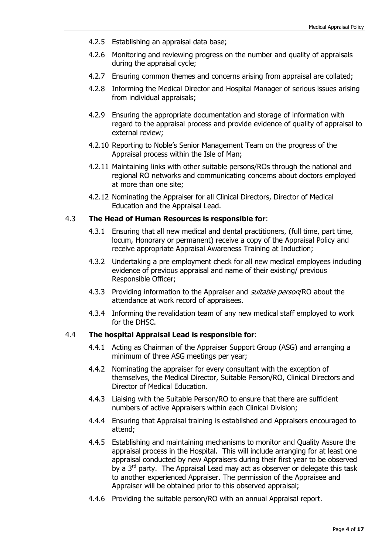- 4.2.5 Establishing an appraisal data base;
- 4.2.6 Monitoring and reviewing progress on the number and quality of appraisals during the appraisal cycle;
- 4.2.7 Ensuring common themes and concerns arising from appraisal are collated;
- 4.2.8 Informing the Medical Director and Hospital Manager of serious issues arising from individual appraisals;
- 4.2.9 Ensuring the appropriate documentation and storage of information with regard to the appraisal process and provide evidence of quality of appraisal to external review;
- 4.2.10 Reporting to Noble's Senior Management Team on the progress of the Appraisal process within the Isle of Man;
- 4.2.11 Maintaining links with other suitable persons/ROs through the national and regional RO networks and communicating concerns about doctors employed at more than one site;
- 4.2.12 Nominating the Appraiser for all Clinical Directors, Director of Medical Education and the Appraisal Lead.

#### 4.3 **The Head of Human Resources is responsible for**:

- 4.3.1 Ensuring that all new medical and dental practitioners, (full time, part time, locum, Honorary or permanent) receive a copy of the Appraisal Policy and receive appropriate Appraisal Awareness Training at Induction;
- 4.3.2 Undertaking a pre employment check for all new medical employees including evidence of previous appraisal and name of their existing/ previous Responsible Officer;
- 4.3.3 Providing information to the Appraiser and *suitable person*/RO about the attendance at work record of appraisees.
- 4.3.4 Informing the revalidation team of any new medical staff employed to work for the DHSC.

# 4.4 **The hospital Appraisal Lead is responsible for**:

- 4.4.1 Acting as Chairman of the Appraiser Support Group (ASG) and arranging a minimum of three ASG meetings per year;
- 4.4.2 Nominating the appraiser for every consultant with the exception of themselves, the Medical Director, Suitable Person/RO, Clinical Directors and Director of Medical Education.
- 4.4.3 Liaising with the Suitable Person/RO to ensure that there are sufficient numbers of active Appraisers within each Clinical Division;
- 4.4.4 Ensuring that Appraisal training is established and Appraisers encouraged to attend;
- 4.4.5 Establishing and maintaining mechanisms to monitor and Quality Assure the appraisal process in the Hospital. This will include arranging for at least one appraisal conducted by new Appraisers during their first year to be observed by a 3<sup>rd</sup> party. The Appraisal Lead may act as observer or delegate this task to another experienced Appraiser. The permission of the Appraisee and Appraiser will be obtained prior to this observed appraisal;
- 4.4.6 Providing the suitable person/RO with an annual Appraisal report.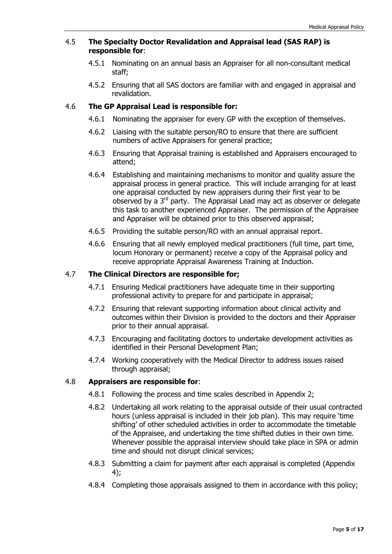# 4.5 **The Specialty Doctor Revalidation and Appraisal lead (SAS RAP) is responsible for**:

- 4.5.1 Nominating on an annual basis an Appraiser for all non-consultant medical staff;
- 4.5.2 Ensuring that all SAS doctors are familiar with and engaged in appraisal and revalidation.

# 4.6 **The GP Appraisal Lead is responsible for:**

- 4.6.1 Nominating the appraiser for every GP with the exception of themselves.
- 4.6.2 Liaising with the suitable person/RO to ensure that there are sufficient numbers of active Appraisers for general practice;
- 4.6.3 Ensuring that Appraisal training is established and Appraisers encouraged to attend;
- 4.6.4 Establishing and maintaining mechanisms to monitor and quality assure the appraisal process in general practice. This will include arranging for at least one appraisal conducted by new appraisers during their first year to be observed by a  $3<sup>rd</sup>$  party. The Appraisal Lead may act as observer or delegate this task to another experienced Appraiser. The permission of the Appraisee and Appraiser will be obtained prior to this observed appraisal;
- 4.6.5 Providing the suitable person/RO with an annual appraisal report.
- 4.6.6 Ensuring that all newly employed medical practitioners (full time, part time, locum Honorary or permanent) receive a copy of the Appraisal policy and receive appropriate Appraisal Awareness Training at Induction.

# 4.7 **The Clinical Directors are responsible for;**

- 4.7.1 Ensuring Medical practitioners have adequate time in their supporting professional activity to prepare for and participate in appraisal;
- 4.7.2 Ensuring that relevant supporting information about clinical activity and outcomes within their Division is provided to the doctors and their Appraiser prior to their annual appraisal.
- 4.7.3 Encouraging and facilitating doctors to undertake development activities as identified in their Personal Development Plan;
- 4.7.4 Working cooperatively with the Medical Director to address issues raised through appraisal;

# 4.8 **Appraisers are responsible for**:

- 4.8.1 Following the process and time scales described in Appendix 2;
- 4.8.2 Undertaking all work relating to the appraisal outside of their usual contracted hours (unless appraisal is included in their job plan). This may require 'time shifting' of other scheduled activities in order to accommodate the timetable of the Appraisee, and undertaking the time shifted duties in their own time. Whenever possible the appraisal interview should take place in SPA or admin time and should not disrupt clinical services;
- 4.8.3 Submitting a claim for payment after each appraisal is completed (Appendix 4);
- 4.8.4 Completing those appraisals assigned to them in accordance with this policy;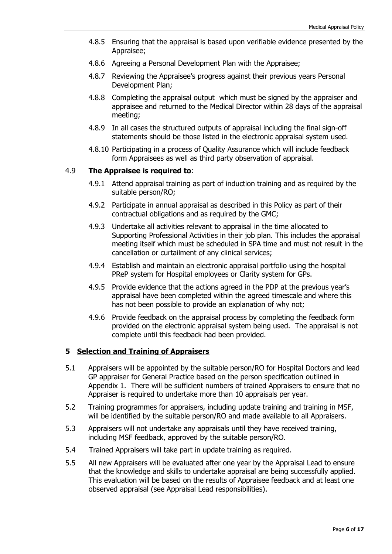- 4.8.5 Ensuring that the appraisal is based upon verifiable evidence presented by the Appraisee;
- 4.8.6 Agreeing a Personal Development Plan with the Appraisee;
- 4.8.7 Reviewing the Appraisee's progress against their previous years Personal Development Plan;
- 4.8.8 Completing the appraisal output which must be signed by the appraiser and appraisee and returned to the Medical Director within 28 days of the appraisal meeting;
- 4.8.9 In all cases the structured outputs of appraisal including the final sign-off statements should be those listed in the electronic appraisal system used.
- 4.8.10 Participating in a process of Quality Assurance which will include feedback form Appraisees as well as third party observation of appraisal.

# 4.9 **The Appraisee is required to**:

- 4.9.1 Attend appraisal training as part of induction training and as required by the suitable person/RO;
- 4.9.2 Participate in annual appraisal as described in this Policy as part of their contractual obligations and as required by the GMC;
- 4.9.3 Undertake all activities relevant to appraisal in the time allocated to Supporting Professional Activities in their job plan. This includes the appraisal meeting itself which must be scheduled in SPA time and must not result in the cancellation or curtailment of any clinical services;
- 4.9.4 Establish and maintain an electronic appraisal portfolio using the hospital PReP system for Hospital employees or Clarity system for GPs.
- 4.9.5 Provide evidence that the actions agreed in the PDP at the previous year's appraisal have been completed within the agreed timescale and where this has not been possible to provide an explanation of why not;
- 4.9.6 Provide feedback on the appraisal process by completing the feedback form provided on the electronic appraisal system being used. The appraisal is not complete until this feedback had been provided.

#### **5 Selection and Training of Appraisers**

- 5.1 Appraisers will be appointed by the suitable person/RO for Hospital Doctors and lead GP appraiser for General Practice based on the person specification outlined in Appendix 1. There will be sufficient numbers of trained Appraisers to ensure that no Appraiser is required to undertake more than 10 appraisals per year.
- 5.2 Training programmes for appraisers, including update training and training in MSF, will be identified by the suitable person/RO and made available to all Appraisers.
- 5.3 Appraisers will not undertake any appraisals until they have received training, including MSF feedback, approved by the suitable person/RO.
- 5.4 Trained Appraisers will take part in update training as required.
- 5.5 All new Appraisers will be evaluated after one year by the Appraisal Lead to ensure that the knowledge and skills to undertake appraisal are being successfully applied. This evaluation will be based on the results of Appraisee feedback and at least one observed appraisal (see Appraisal Lead responsibilities).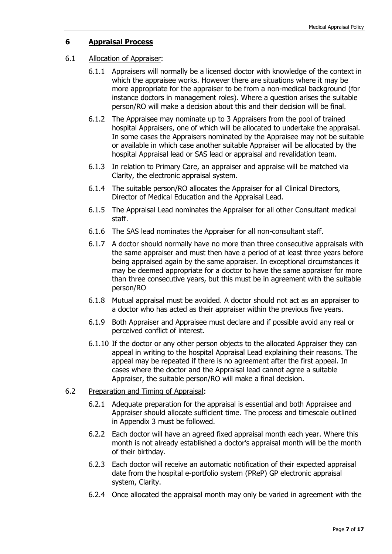# **6 Appraisal Process**

# 6.1 Allocation of Appraiser:

- 6.1.1 Appraisers will normally be a licensed doctor with knowledge of the context in which the appraisee works. However there are situations where it may be more appropriate for the appraiser to be from a non-medical background (for instance doctors in management roles). Where a question arises the suitable person/RO will make a decision about this and their decision will be final.
- 6.1.2 The Appraisee may nominate up to 3 Appraisers from the pool of trained hospital Appraisers, one of which will be allocated to undertake the appraisal. In some cases the Appraisers nominated by the Appraisee may not be suitable or available in which case another suitable Appraiser will be allocated by the hospital Appraisal lead or SAS lead or appraisal and revalidation team.
- 6.1.3 In relation to Primary Care, an appraiser and appraise will be matched via Clarity, the electronic appraisal system.
- 6.1.4 The suitable person/RO allocates the Appraiser for all Clinical Directors, Director of Medical Education and the Appraisal Lead.
- 6.1.5 The Appraisal Lead nominates the Appraiser for all other Consultant medical staff.
- 6.1.6 The SAS lead nominates the Appraiser for all non-consultant staff.
- 6.1.7 A doctor should normally have no more than three consecutive appraisals with the same appraiser and must then have a period of at least three years before being appraised again by the same appraiser. In exceptional circumstances it may be deemed appropriate for a doctor to have the same appraiser for more than three consecutive years, but this must be in agreement with the suitable person/RO
- 6.1.8 Mutual appraisal must be avoided. A doctor should not act as an appraiser to a doctor who has acted as their appraiser within the previous five years.
- 6.1.9 Both Appraiser and Appraisee must declare and if possible avoid any real or perceived conflict of interest.
- 6.1.10 If the doctor or any other person objects to the allocated Appraiser they can appeal in writing to the hospital Appraisal Lead explaining their reasons. The appeal may be repeated if there is no agreement after the first appeal. In cases where the doctor and the Appraisal lead cannot agree a suitable Appraiser, the suitable person/RO will make a final decision.
- 6.2 Preparation and Timing of Appraisal:
	- 6.2.1 Adequate preparation for the appraisal is essential and both Appraisee and Appraiser should allocate sufficient time. The process and timescale outlined in Appendix 3 must be followed.
	- 6.2.2 Each doctor will have an agreed fixed appraisal month each year. Where this month is not already established a doctor's appraisal month will be the month of their birthday.
	- 6.2.3 Each doctor will receive an automatic notification of their expected appraisal date from the hospital e-portfolio system (PReP) GP electronic appraisal system, Clarity.
	- 6.2.4 Once allocated the appraisal month may only be varied in agreement with the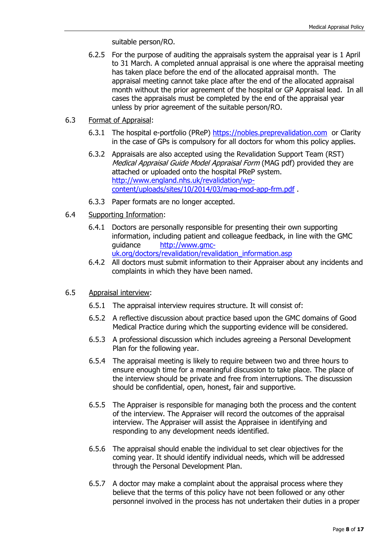suitable person/RO.

- 6.2.5 For the purpose of auditing the appraisals system the appraisal year is 1 April to 31 March. A completed annual appraisal is one where the appraisal meeting has taken place before the end of the allocated appraisal month. The appraisal meeting cannot take place after the end of the allocated appraisal month without the prior agreement of the hospital or GP Appraisal lead. In all cases the appraisals must be completed by the end of the appraisal year unless by prior agreement of the suitable person/RO.
- 6.3 Format of Appraisal:
	- 6.3.1 The hospital e-portfolio (PReP) [https://nobles.preprevalidation.com](https://nobles.preprevalidation.com/) or Clarity in the case of GPs is compulsory for all doctors for whom this policy applies.
	- 6.3.2 Appraisals are also accepted using the Revalidation Support Team (RST) Medical Appraisal Guide Model Appraisal Form (MAG pdf) provided they are attached or uploaded onto the hospital PReP system. [http://www.england.nhs.uk/revalidation/wp](http://www.england.nhs.uk/revalidation/wp-content/uploads/sites/10/2014/03/mag-mod-app-frm.pdf)[content/uploads/sites/10/2014/03/mag-mod-app-frm.pdf](http://www.england.nhs.uk/revalidation/wp-content/uploads/sites/10/2014/03/mag-mod-app-frm.pdf) .
	- 6.3.3 Paper formats are no longer accepted.
- 6.4 Supporting Information:
	- 6.4.1 Doctors are personally responsible for presenting their own supporting information, including patient and colleague feedback, in line with the GMC guidance [http://www.gmc](http://www.gmc-uk.org/doctors/revalidation/revalidation_information.asp)
		- [uk.org/doctors/revalidation/revalidation\\_information.asp](http://www.gmc-uk.org/doctors/revalidation/revalidation_information.asp)
	- 6.4.2 All doctors must submit information to their Appraiser about any incidents and complaints in which they have been named.
- 6.5 Appraisal interview:
	- 6.5.1 The appraisal interview requires structure. It will consist of:
	- 6.5.2 A reflective discussion about practice based upon the GMC domains of Good Medical Practice during which the supporting evidence will be considered.
	- 6.5.3 A professional discussion which includes agreeing a Personal Development Plan for the following year.
	- 6.5.4 The appraisal meeting is likely to require between two and three hours to ensure enough time for a meaningful discussion to take place. The place of the interview should be private and free from interruptions. The discussion should be confidential, open, honest, fair and supportive.
	- 6.5.5 The Appraiser is responsible for managing both the process and the content of the interview. The Appraiser will record the outcomes of the appraisal interview. The Appraiser will assist the Appraisee in identifying and responding to any development needs identified.
	- 6.5.6 The appraisal should enable the individual to set clear objectives for the coming year. It should identify individual needs, which will be addressed through the Personal Development Plan.
	- 6.5.7 A doctor may make a complaint about the appraisal process where they believe that the terms of this policy have not been followed or any other personnel involved in the process has not undertaken their duties in a proper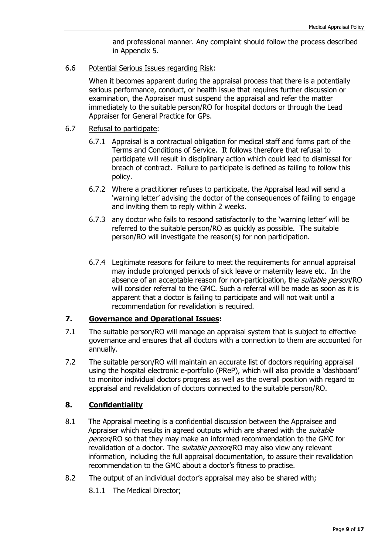and professional manner. Any complaint should follow the process described in Appendix 5.

6.6 Potential Serious Issues regarding Risk:

When it becomes apparent during the appraisal process that there is a potentially serious performance, conduct, or health issue that requires further discussion or examination, the Appraiser must suspend the appraisal and refer the matter immediately to the suitable person/RO for hospital doctors or through the Lead Appraiser for General Practice for GPs.

- 6.7 Refusal to participate:
	- 6.7.1 Appraisal is a contractual obligation for medical staff and forms part of the Terms and Conditions of Service. It follows therefore that refusal to participate will result in disciplinary action which could lead to dismissal for breach of contract. Failure to participate is defined as failing to follow this policy.
	- 6.7.2 Where a practitioner refuses to participate, the Appraisal lead will send a 'warning letter' advising the doctor of the consequences of failing to engage and inviting them to reply within 2 weeks.
	- 6.7.3 any doctor who fails to respond satisfactorily to the 'warning letter' will be referred to the suitable person/RO as quickly as possible. The suitable person/RO will investigate the reason(s) for non participation.
	- 6.7.4 Legitimate reasons for failure to meet the requirements for annual appraisal may include prolonged periods of sick leave or maternity leave etc. In the absence of an acceptable reason for non-participation, the *suitable person*/RO will consider referral to the GMC. Such a referral will be made as soon as it is apparent that a doctor is failing to participate and will not wait until a recommendation for revalidation is required.

# **7. Governance and Operational Issues:**

- 7.1 The suitable person/RO will manage an appraisal system that is subject to effective governance and ensures that all doctors with a connection to them are accounted for annually.
- 7.2 The suitable person/RO will maintain an accurate list of doctors requiring appraisal using the hospital electronic e-portfolio (PReP), which will also provide a 'dashboard' to monitor individual doctors progress as well as the overall position with regard to appraisal and revalidation of doctors connected to the suitable person/RO.

# **8. Confidentiality**

- 8.1 The Appraisal meeting is a confidential discussion between the Appraisee and Appraiser which results in agreed outputs which are shared with the *suitable* person/RO so that they may make an informed recommendation to the GMC for revalidation of a doctor. The *suitable person*/RO may also view any relevant information, including the full appraisal documentation, to assure their revalidation recommendation to the GMC about a doctor's fitness to practise.
- 8.2 The output of an individual doctor's appraisal may also be shared with;
	- 8.1.1 The Medical Director;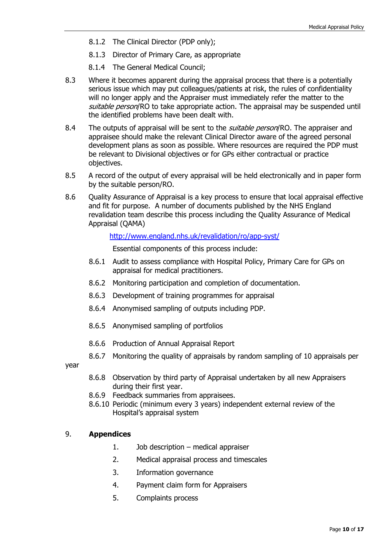- 8.1.2 The Clinical Director (PDP only);
- 8.1.3 Director of Primary Care, as appropriate
- 8.1.4 The General Medical Council;
- 8.3 Where it becomes apparent during the appraisal process that there is a potentially serious issue which may put colleagues/patients at risk, the rules of confidentiality will no longer apply and the Appraiser must immediately refer the matter to the suitable person/RO to take appropriate action. The appraisal may be suspended until the identified problems have been dealt with.
- 8.4 The outputs of appraisal will be sent to the *suitable person*/RO. The appraiser and appraisee should make the relevant Clinical Director aware of the agreed personal development plans as soon as possible. Where resources are required the PDP must be relevant to Divisional objectives or for GPs either contractual or practice objectives.
- 8.5 A record of the output of every appraisal will be held electronically and in paper form by the suitable person/RO.
- 8.6 Quality Assurance of Appraisal is a key process to ensure that local appraisal effective and fit for purpose. A number of documents published by the NHS England revalidation team describe this process including the Quality Assurance of Medical Appraisal (QAMA)

<http://www.england.nhs.uk/revalidation/ro/app-syst/>

Essential components of this process include:

- 8.6.1 Audit to assess compliance with Hospital Policy, Primary Care for GPs on appraisal for medical practitioners.
- 8.6.2 Monitoring participation and completion of documentation.
- 8.6.3 Development of training programmes for appraisal
- 8.6.4 Anonymised sampling of outputs including PDP.
- 8.6.5 Anonymised sampling of portfolios
- 8.6.6 Production of Annual Appraisal Report
- 8.6.7 Monitoring the quality of appraisals by random sampling of 10 appraisals per

year

- 8.6.8 Observation by third party of Appraisal undertaken by all new Appraisers during their first year.
- 8.6.9 Feedback summaries from appraisees.
- 8.6.10 Periodic (minimum every 3 years) independent external review of the Hospital's appraisal system

# 9. **Appendices**

- 1. Job description medical appraiser
- 2. Medical appraisal process and timescales
- 3. Information governance
- 4. Payment claim form for Appraisers
- 5. Complaints process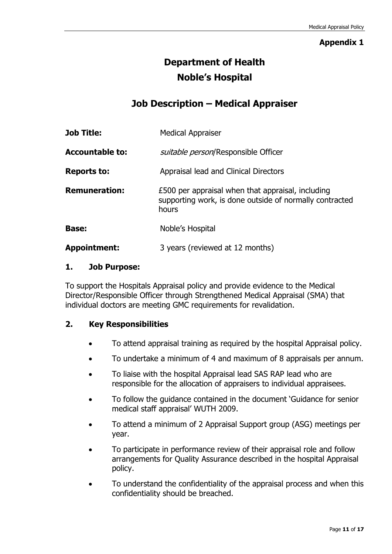# **Appendix 1**

# **Department of Health Noble's Hospital**

# **Job Description – Medical Appraiser**

| <b>Job Title:</b>      | <b>Medical Appraiser</b>                                                                                              |  |
|------------------------|-----------------------------------------------------------------------------------------------------------------------|--|
| <b>Accountable to:</b> | suitable person/Responsible Officer                                                                                   |  |
| <b>Reports to:</b>     | Appraisal lead and Clinical Directors                                                                                 |  |
| <b>Remuneration:</b>   | £500 per appraisal when that appraisal, including<br>supporting work, is done outside of normally contracted<br>hours |  |
| <b>Base:</b>           | Noble's Hospital                                                                                                      |  |
| <b>Appointment:</b>    | 3 years (reviewed at 12 months)                                                                                       |  |

# **1. Job Purpose:**

To support the Hospitals Appraisal policy and provide evidence to the Medical Director/Responsible Officer through Strengthened Medical Appraisal (SMA) that individual doctors are meeting GMC requirements for revalidation.

# **2. Key Responsibilities**

- To attend appraisal training as required by the hospital Appraisal policy.
- To undertake a minimum of 4 and maximum of 8 appraisals per annum.
- To liaise with the hospital Appraisal lead SAS RAP lead who are responsible for the allocation of appraisers to individual appraisees.
- To follow the guidance contained in the document 'Guidance for senior medical staff appraisal' WUTH 2009.
- To attend a minimum of 2 Appraisal Support group (ASG) meetings per year.
- To participate in performance review of their appraisal role and follow arrangements for Quality Assurance described in the hospital Appraisal policy.
- To understand the confidentiality of the appraisal process and when this confidentiality should be breached.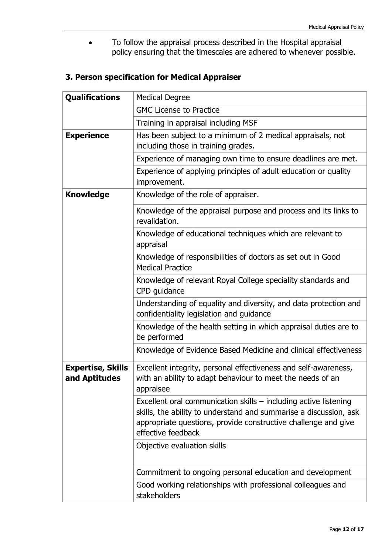To follow the appraisal process described in the Hospital appraisal policy ensuring that the timescales are adhered to whenever possible.

# **3. Person specification for Medical Appraiser**

| <b>Qualifications</b>                     | <b>Medical Degree</b>                                                                                                                                                                                                         |
|-------------------------------------------|-------------------------------------------------------------------------------------------------------------------------------------------------------------------------------------------------------------------------------|
|                                           | <b>GMC License to Practice</b>                                                                                                                                                                                                |
|                                           | Training in appraisal including MSF                                                                                                                                                                                           |
| <b>Experience</b>                         | Has been subject to a minimum of 2 medical appraisals, not<br>including those in training grades.                                                                                                                             |
|                                           | Experience of managing own time to ensure deadlines are met.                                                                                                                                                                  |
|                                           | Experience of applying principles of adult education or quality<br>improvement.                                                                                                                                               |
| <b>Knowledge</b>                          | Knowledge of the role of appraiser.                                                                                                                                                                                           |
|                                           | Knowledge of the appraisal purpose and process and its links to<br>revalidation.                                                                                                                                              |
|                                           | Knowledge of educational techniques which are relevant to<br>appraisal                                                                                                                                                        |
|                                           | Knowledge of responsibilities of doctors as set out in Good<br><b>Medical Practice</b>                                                                                                                                        |
|                                           | Knowledge of relevant Royal College speciality standards and<br>CPD guidance                                                                                                                                                  |
|                                           | Understanding of equality and diversity, and data protection and<br>confidentiality legislation and guidance                                                                                                                  |
|                                           | Knowledge of the health setting in which appraisal duties are to<br>be performed                                                                                                                                              |
|                                           | Knowledge of Evidence Based Medicine and clinical effectiveness                                                                                                                                                               |
| <b>Expertise, Skills</b><br>and Aptitudes | Excellent integrity, personal effectiveness and self-awareness,<br>with an ability to adapt behaviour to meet the needs of an<br>appraisee                                                                                    |
|                                           | Excellent oral communication skills - including active listening<br>skills, the ability to understand and summarise a discussion, ask<br>appropriate questions, provide constructive challenge and give<br>effective feedback |
|                                           | Objective evaluation skills                                                                                                                                                                                                   |
|                                           | Commitment to ongoing personal education and development                                                                                                                                                                      |
|                                           | Good working relationships with professional colleagues and<br>stakeholders                                                                                                                                                   |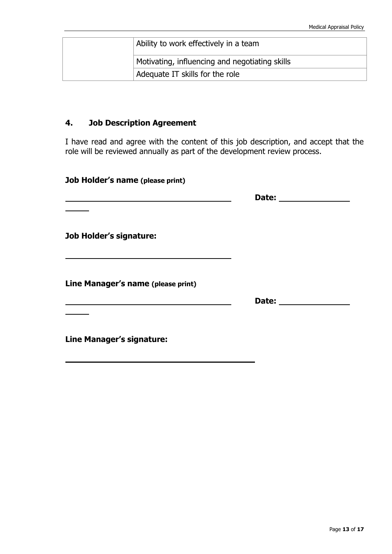|  | Ability to work effectively in a team          |
|--|------------------------------------------------|
|  | Motivating, influencing and negotiating skills |
|  | Adequate IT skills for the role                |

# **4. Job Description Agreement**

I have read and agree with the content of this job description, and accept that the role will be reviewed annually as part of the development review process.

| Job Holder's name (please print)   |              |  |
|------------------------------------|--------------|--|
|                                    |              |  |
|                                    |              |  |
| <b>Job Holder's signature:</b>     |              |  |
|                                    |              |  |
| Line Manager's name (please print) |              |  |
|                                    |              |  |
|                                    | Date: $\_\_$ |  |
| Line Manager's signature:          |              |  |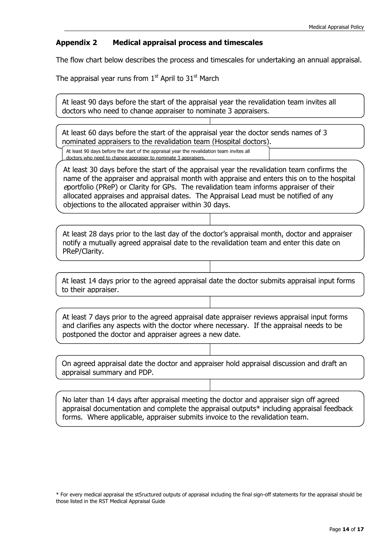#### **Appendix 2 Medical appraisal process and timescales**

The flow chart below describes the process and timescales for undertaking an annual appraisal.

The appraisal year runs from  $1<sup>st</sup>$  April to  $31<sup>st</sup>$  March

At least 90 days before the start of the appraisal year the revalidation team invites all doctors who need to change appraiser to nominate 3 appraisers.

At least 60 days before the start of the appraisal year the doctor sends names of 3 nominated appraisers to the revalidation team (Hospital doctors).

At least 90 days before the start of the appraisal year the revalidation team invites all doctors who need to change appraiser to nominate 3 appraisers.

At least 30 days before the start of the appraisal year the revalidation team confirms the name of the appraiser and appraisal month with appraise and enters this on to the hospital <sup>e</sup>portfolio (PReP) or Clarity for GPs. The revalidation team informs appraiser of their allocated appraises and appraisal dates. The Appraisal Lead must be notified of any objections to the allocated appraiser within 30 days.

At least 28 days prior to the last day of the doctor's appraisal month, doctor and appraiser notify a mutually agreed appraisal date to the revalidation team and enter this date on PReP/Clarity.

At least 14 days prior to the agreed appraisal date the doctor submits appraisal input forms to their appraiser.

At least 7 days prior to the agreed appraisal date appraiser reviews appraisal input forms and clarifies any aspects with the doctor where necessary. If the appraisal needs to be postponed the doctor and appraiser agrees a new date.

On agreed appraisal date the doctor and appraiser hold appraisal discussion and draft an appraisal summary and PDP.

No later than 14 days after appraisal meeting the doctor and appraiser sign off agreed appraisal documentation and complete the appraisal outputs\* including appraisal feedback forms. Where applicable, appraiser submits invoice to the revalidation team.

\* For every medical appraisal the st5ructured outputs of appraisal including the final sign-off statements for the appraisal should be those listed in the RST Medical Appraisal Guide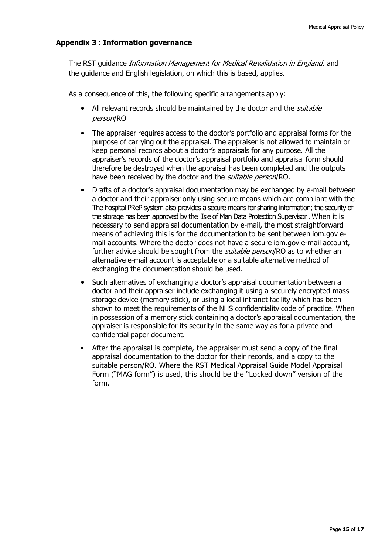# **Appendix 3 : Information governance**

The RST quidance *Information Management for Medical Revalidation in England*, and the guidance and English legislation, on which this is based, applies.

As a consequence of this, the following specific arrangements apply:

- All relevant records should be maintained by the doctor and the *suitable* person/RO
- The appraiser requires access to the doctor's portfolio and appraisal forms for the purpose of carrying out the appraisal. The appraiser is not allowed to maintain or keep personal records about a doctor's appraisals for any purpose. All the appraiser's records of the doctor's appraisal portfolio and appraisal form should therefore be destroyed when the appraisal has been completed and the outputs have been received by the doctor and the *suitable person*/RO.
- Drafts of a doctor's appraisal documentation may be exchanged by e-mail between a doctor and their appraiser only using secure means which are compliant with the The hospital PReP system also provides a secure means for sharing information; the security of the storage has been approved by the Isle of Man Data Protection Supervisor . When it is necessary to send appraisal documentation by e-mail, the most straightforward means of achieving this is for the documentation to be sent between iom.gov email accounts. Where the doctor does not have a secure iom.gov e-mail account, further advice should be sought from the *suitable person*/RO as to whether an alternative e-mail account is acceptable or a suitable alternative method of exchanging the documentation should be used.
- Such alternatives of exchanging a doctor's appraisal documentation between a doctor and their appraiser include exchanging it using a securely encrypted mass storage device (memory stick), or using a local intranet facility which has been shown to meet the requirements of the NHS confidentiality code of practice. When in possession of a memory stick containing a doctor's appraisal documentation, the appraiser is responsible for its security in the same way as for a private and confidential paper document.
- After the appraisal is complete, the appraiser must send a copy of the final appraisal documentation to the doctor for their records, and a copy to the suitable person/RO. Where the RST Medical Appraisal Guide Model Appraisal Form ("MAG form") is used, this should be the "Locked down" version of the form.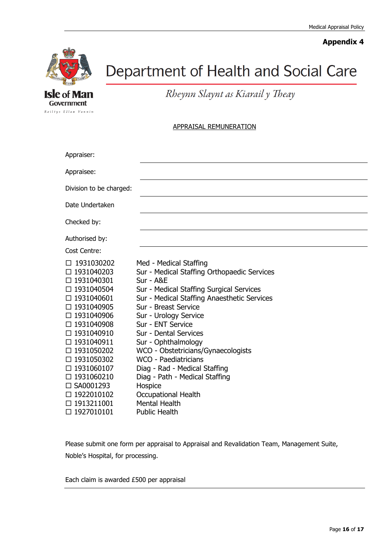# **Appendix 4**



**Isle of Man** Government Reiltys Ellan Vannin

# Department of Health and Social Care

Rheynn Slaynt as Kiarail y Theay

#### APPRAISAL REMUNERATION

| Appraiser:                                                                                                                                                                                                 |                                                                                                                                                                                                                                                                                                                                                                                                    |
|------------------------------------------------------------------------------------------------------------------------------------------------------------------------------------------------------------|----------------------------------------------------------------------------------------------------------------------------------------------------------------------------------------------------------------------------------------------------------------------------------------------------------------------------------------------------------------------------------------------------|
| Appraisee:                                                                                                                                                                                                 |                                                                                                                                                                                                                                                                                                                                                                                                    |
| Division to be charged:                                                                                                                                                                                    |                                                                                                                                                                                                                                                                                                                                                                                                    |
| Date Undertaken                                                                                                                                                                                            |                                                                                                                                                                                                                                                                                                                                                                                                    |
| Checked by:                                                                                                                                                                                                |                                                                                                                                                                                                                                                                                                                                                                                                    |
| Authorised by:                                                                                                                                                                                             |                                                                                                                                                                                                                                                                                                                                                                                                    |
| Cost Centre:                                                                                                                                                                                               |                                                                                                                                                                                                                                                                                                                                                                                                    |
| 1931030202<br>□ 1931040203<br>□ 1931040301<br>□ 1931040504<br>□ 1931040601<br>□ 1931040905<br>□ 1931040906<br>□ 1931040908<br>□ 1931040910<br>□ 1931040911<br>□ 1931050202<br>□ 1931050302<br>□ 1931060107 | Med - Medical Staffing<br>Sur - Medical Staffing Orthopaedic Services<br>Sur - A&E<br>Sur - Medical Staffing Surgical Services<br>Sur - Medical Staffing Anaesthetic Services<br>Sur - Breast Service<br>Sur - Urology Service<br>Sur - ENT Service<br>Sur - Dental Services<br>Sur - Ophthalmology<br>WCO - Obstetricians/Gynaecologists<br>WCO - Paediatricians<br>Diag - Rad - Medical Staffing |
| □ 1931060210<br>□ SA0001293                                                                                                                                                                                | Diag - Path - Medical Staffing<br>Hospice                                                                                                                                                                                                                                                                                                                                                          |
| □ 1922010102<br>□ 1913211001<br>□ 1927010101                                                                                                                                                               | <b>Occupational Health</b><br><b>Mental Health</b><br><b>Public Health</b>                                                                                                                                                                                                                                                                                                                         |

Please submit one form per appraisal to Appraisal and Revalidation Team, Management Suite, Noble's Hospital, for processing.

Each claim is awarded £500 per appraisal